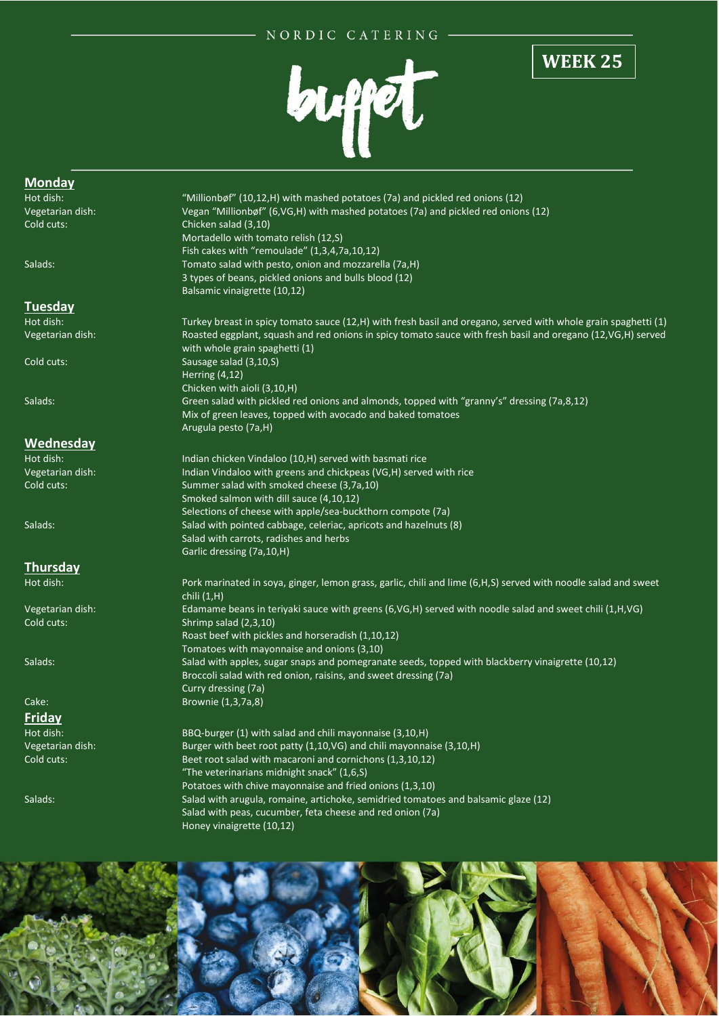## NORDIC CATERING



## **WEEK 25**

## **Monday**<br>Hot dish: "Millionbøf" (10,12,H) with mashed potatoes (7a) and pickled red onions (12) Vegetarian dish: Vegan "Millionbøf" (6,VG,H) with mashed potatoes (7a) and pickled red onions (12) Cold cuts: Chicken salad (3,10) Mortadello with tomato relish (12,S) Fish cakes with "remoulade" (1,3,4,7a,10,12) Salads: Tomato salad with pesto, onion and mozzarella (7a,H) 3 types of beans, pickled onions and bulls blood (12) Balsamic vinaigrette (10,12) **Tuesday** Hot dish: Turkey breast in spicy tomato sauce (12,H) with fresh basil and oregano, served with whole grain spaghetti (1) Vegetarian dish: Roasted eggplant, squash and red onions in spicy tomato sauce with fresh basil and oregano (12,VG,H) served with whole grain spaghetti (1) Cold cuts: Sausage salad (3,10,S) Herring (4,12) Chicken with aioli (3,10,H) Salads: Green salad with pickled red onions and almonds, topped with "granny's" dressing (7a,8,12) Mix of green leaves, topped with avocado and baked tomatoes Arugula pesto (7a,H) **Wednesday**<br>Hot dish: Indian chicken Vindaloo (10,H) served with basmati rice Vegetarian dish: Indian Vindaloo with greens and chickpeas (VG,H) served with rice Cold cuts: Summer salad with smoked cheese (3,7a,10) Smoked salmon with dill sauce (4,10,12) Selections of cheese with apple/sea-buckthorn compote (7a) Salads: Salad with pointed cabbage, celeriac, apricots and hazelnuts (8) Salad with carrots, radishes and herbs Garlic dressing (7a,10,H) **Thursday** Hot dish: Pork marinated in soya, ginger, lemon grass, garlic, chili and lime (6,H,S) served with noodle salad and sweet chili (1,H) Vegetarian dish: Edamame beans in teriyaki sauce with greens (6,VG,H) served with noodle salad and sweet chili (1,H,VG) Cold cuts: Shrimp salad (2,3,10) Roast beef with pickles and horseradish (1,10,12) Tomatoes with mayonnaise and onions (3,10) Salads: Salad with apples, sugar snaps and pomegranate seeds, topped with blackberry vinaigrette (10,12) Broccoli salad with red onion, raisins, and sweet dressing (7a) Curry dressing (7a) Cake: Brownie (1,3,7a,8) **Friday**<br>Hot dish: BBQ-burger (1) with salad and chili mayonnaise (3,10,H) Vegetarian dish: Burger with beet root patty (1,10,VG) and chili mayonnaise (3,10,H) Cold cuts: **Beet root salad with macaroni and cornichons (1,3,10,12)** "The veterinarians midnight snack" (1,6,S) Potatoes with chive mayonnaise and fried onions (1,3,10) Salads: Salad with arugula, romaine, artichoke, semidried tomatoes and balsamic glaze (12) Salad with peas, cucumber, feta cheese and red onion (7a) Honey vinaigrette (10,12)